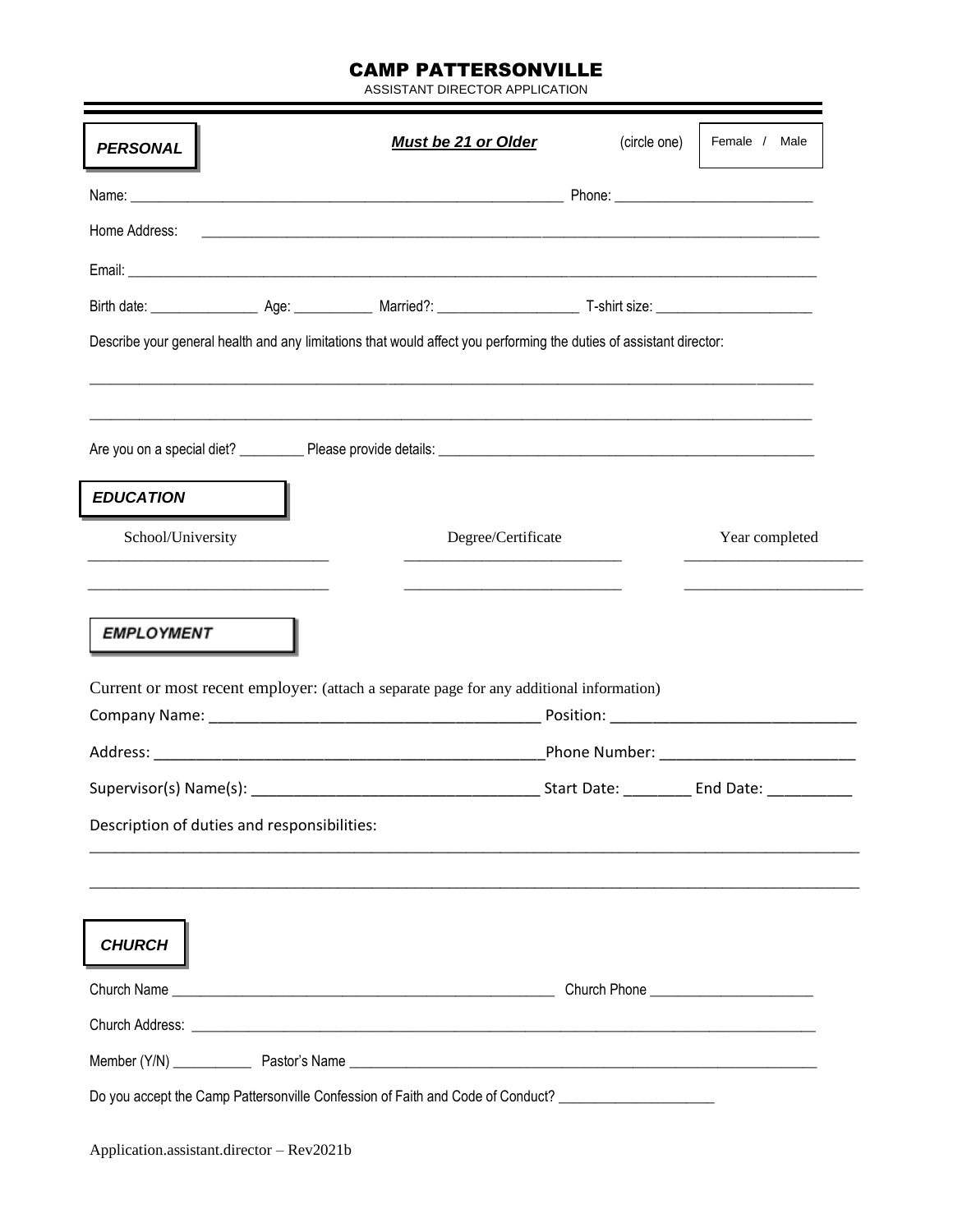## CAMP PATTERSONVILLE

ASSISTANT DIRECTOR APPLICATION

| Home Address:                               | <u> 1989 - Johann John Harry Harry Harry Harry Harry Harry Harry Harry Harry Harry Harry Harry Harry Harry Harry</u> |                                             |
|---------------------------------------------|----------------------------------------------------------------------------------------------------------------------|---------------------------------------------|
|                                             |                                                                                                                      |                                             |
|                                             |                                                                                                                      |                                             |
|                                             | Describe your general health and any limitations that would affect you performing the duties of assistant director:  |                                             |
|                                             |                                                                                                                      |                                             |
| <b>EDUCATION</b>                            |                                                                                                                      |                                             |
| School/University                           | Degree/Certificate                                                                                                   | Year completed                              |
| <b>EMPLOYMENT</b>                           |                                                                                                                      |                                             |
|                                             | Current or most recent employer: (attach a separate page for any additional information)                             |                                             |
|                                             |                                                                                                                      | _Phone Number: ____________________________ |
|                                             |                                                                                                                      |                                             |
| Description of duties and responsibilities: |                                                                                                                      |                                             |
|                                             |                                                                                                                      |                                             |
| <b>CHURCH</b>                               |                                                                                                                      |                                             |
|                                             |                                                                                                                      |                                             |
|                                             |                                                                                                                      |                                             |